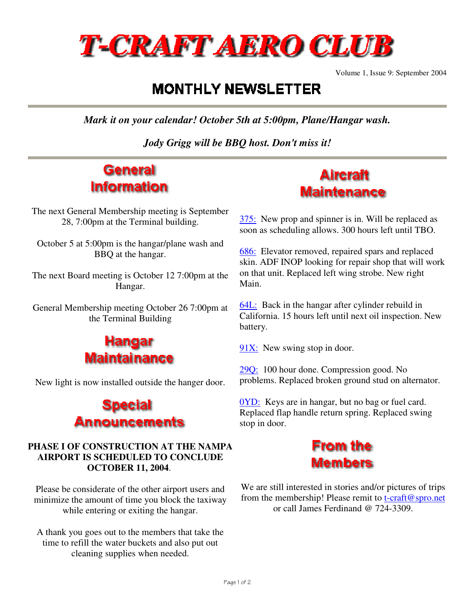

Volume 1, Issue 9: September 2004

## **MONTHLY NEWSLETTER**

*Mark it on your calendar! October 5th at 5:00pm, Plane/Hangar wash.* 

*Jody Grigg will be BBQ host. Don't miss it!*

## **General Information**

The next General Membership meeting is September 28, 7:00pm at the Terminal building.

October 5 at 5:00pm is the hangar/plane wash and BBQ at the hangar.

The next Board meeting is October 12 7:00pm at the Hangar.

General Membership meeting October 26 7:00pm at the Terminal Building



New light is now installed outside the hanger door.



## **PHASE I OF CONSTRUCTION AT THE NAMPA AIRPORT IS SCHEDULED TO CONCLUDE OCTOBER 11, 2004**.

Please be considerate of the other airport users and minimize the amount of time you block the taxiway while entering or exiting the hangar.

A thank you goes out to the members that take the time to refill the water buckets and also put out cleaning supplies when needed.

## **Aircraft Maintenance**

375: New prop and spinner is in. Will be replaced as soon as scheduling allows. 300 hours left until TBO.

686: Elevator removed, repaired spars and replaced skin. ADF INOP looking for repair shop that will work on that unit. Replaced left wing strobe. New right Main.

64L: Back in the hangar after cylinder rebuild in California. 15 hours left until next oil inspection. New battery.

 $91X$ : New swing stop in door.

29Q: 100 hour done. Compression good. No problems. Replaced broken ground stud on alternator.

0YD: Keys are in hangar, but no bag or fuel card. Replaced flap handle return spring. Replaced swing stop in door.



We are still interested in stories and/or pictures of trips from the membership! Please remit to t-craft@spro.net or call James Ferdinand @ 724-3309.